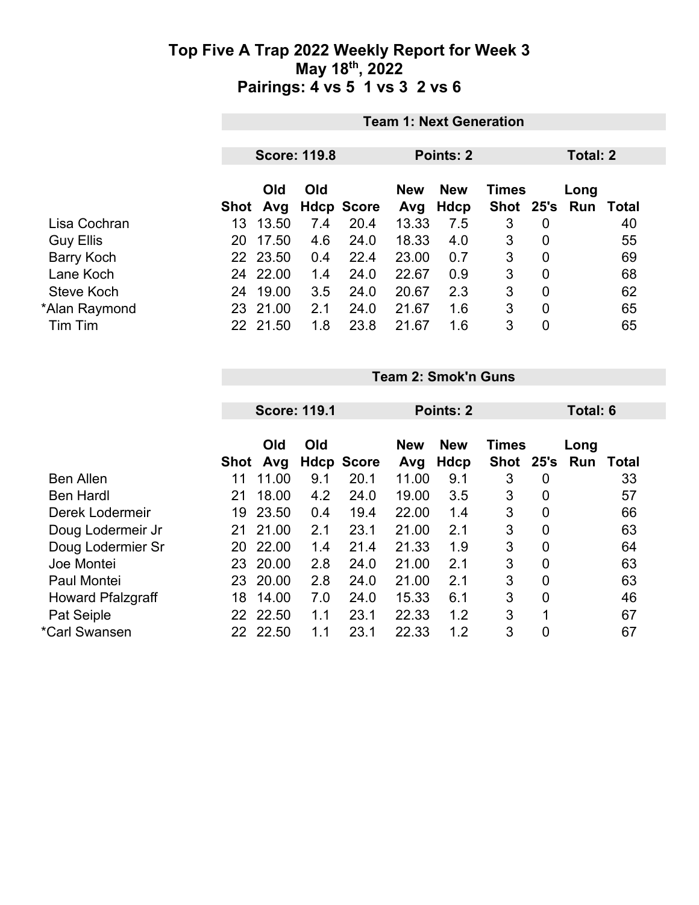|                   | <b>Team 1: Next Generation</b> |          |     |                   |            |             |              |                |      |       |
|-------------------|--------------------------------|----------|-----|-------------------|------------|-------------|--------------|----------------|------|-------|
|                   | <b>Score: 119.8</b>            |          |     |                   | Points: 2  |             |              | Total: 2       |      |       |
|                   |                                | Old      | Old |                   | <b>New</b> | <b>New</b>  | <b>Times</b> |                | Long |       |
|                   | Shot                           | Avg      |     | <b>Hdcp Score</b> | Avg        | <b>Hdcp</b> | Shot 25's    |                | Run  | Total |
| Lisa Cochran      | 13.                            | 13.50    | 7.4 | 20.4              | 13.33      | 7.5         | 3            | $\overline{0}$ |      | 40    |
| <b>Guy Ellis</b>  | 20                             | 17.50    | 4.6 | 24.0              | 18.33      | 4.0         | 3            | $\overline{0}$ |      | 55    |
| <b>Barry Koch</b> |                                | 22 23.50 | 0.4 | 22.4              | 23.00      | 0.7         | 3            | $\overline{0}$ |      | 69    |
| Lane Koch         |                                | 24 22.00 | 1.4 | 24.0              | 22.67      | 0.9         | 3            | $\mathbf 0$    |      | 68    |
| Steve Koch        | 24                             | 19.00    | 3.5 | 24.0              | 20.67      | 2.3         | 3            | $\mathbf 0$    |      | 62    |
| *Alan Raymond     |                                | 23 21.00 | 2.1 | 24.0              | 21.67      | 1.6         | 3            | $\mathbf 0$    |      | 65    |
| Tim Tim           |                                | 22 21.50 | 1.8 | 23.8              | 21.67      | 1.6         | 3            | $\mathbf 0$    |      | 65    |

**Team 2: Smok'n Guns**

|                          |             | <b>Score: 119.1</b> |     |                           | <b>Points: 2</b> |             |              |                | Total: 6 |                  |  |
|--------------------------|-------------|---------------------|-----|---------------------------|------------------|-------------|--------------|----------------|----------|------------------|--|
|                          |             | Old                 | Old |                           | <b>New</b>       | <b>New</b>  | <b>Times</b> |                | Long     |                  |  |
| <b>Ben Allen</b>         | <b>Shot</b> | Avg<br>11.00        | 9.1 | <b>Hdcp Score</b><br>20.1 | Avg<br>11.00     | <b>Hdcp</b> | Shot 25's    |                |          | <b>Run Total</b> |  |
|                          | 11          |                     |     |                           |                  | 9.1         | 3            | 0              |          | 33               |  |
| <b>Ben Hardl</b>         | 21          | 18.00               | 4.2 | 24.0                      | 19.00            | 3.5         | 3            | $\mathbf 0$    |          | 57               |  |
| Derek Lodermeir          | 19          | 23.50               | 0.4 | 19.4                      | 22.00            | 1.4         | 3            | $\overline{0}$ |          | 66               |  |
| Doug Lodermeir Jr        | 21          | 21.00               | 2.1 | 23.1                      | 21.00            | 2.1         | 3            | 0              |          | 63               |  |
| Doug Lodermier Sr        | 20          | 22.00               | 1.4 | 21.4                      | 21.33            | 1.9         | 3            | 0              |          | 64               |  |
| Joe Montei               | 23          | 20.00               | 2.8 | 24.0                      | 21.00            | 2.1         | 3            | $\mathbf 0$    |          | 63               |  |
| Paul Montei              | 23          | 20.00               | 2.8 | 24.0                      | 21.00            | 2.1         | 3            | $\overline{0}$ |          | 63               |  |
| <b>Howard Pfalzgraff</b> | 18          | 14.00               | 7.0 | 24.0                      | 15.33            | 6.1         | 3            | $\overline{0}$ |          | 46               |  |
| Pat Seiple               | 22          | 22.50               | 1.1 | 23.1                      | 22.33            | 1.2         | 3            | 1              |          | 67               |  |
| *Carl Swansen            | 22          | 22.50               | 1.1 | 23.1                      | 22.33            | 1.2         | 3            | $\overline{0}$ |          | 67               |  |
|                          |             |                     |     |                           |                  |             |              |                |          |                  |  |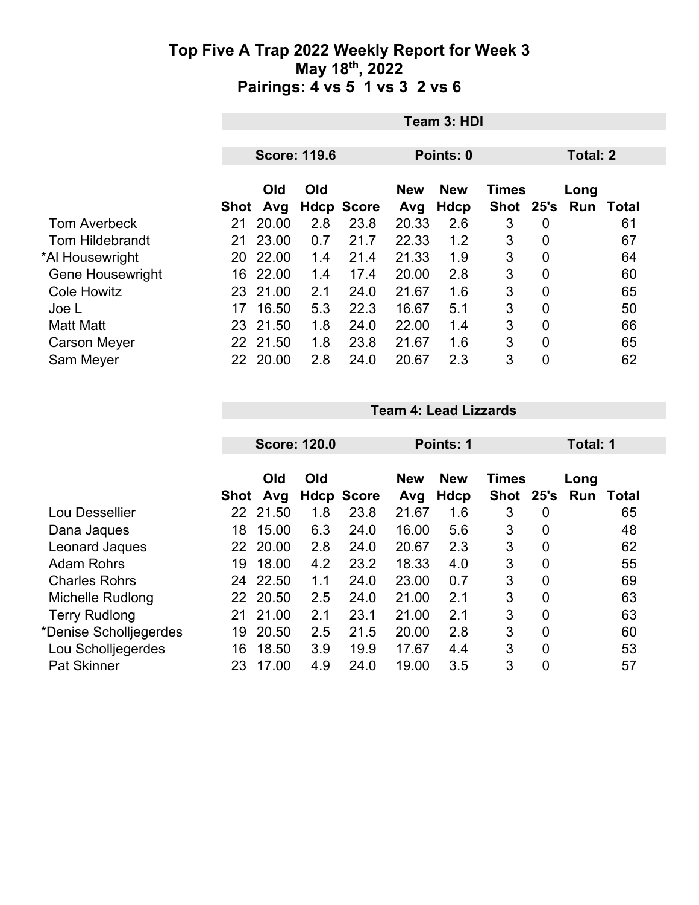|                         |      | Team 3: HDI         |     |                   |                   |                           |                             |                |             |                 |  |
|-------------------------|------|---------------------|-----|-------------------|-------------------|---------------------------|-----------------------------|----------------|-------------|-----------------|--|
|                         |      | <b>Score: 119.6</b> |     |                   |                   | Points: 0                 |                             |                |             | <b>Total: 2</b> |  |
|                         | Shot | Old<br>Avg          | Old | <b>Hdcp Score</b> | <b>New</b><br>Avg | <b>New</b><br><b>Hdcp</b> | <b>Times</b><br><b>Shot</b> | 25's           | Long<br>Run | Total           |  |
| <b>Tom Averbeck</b>     | 21   | 20.00               | 2.8 | 23.8              | 20.33             | 2.6                       | 3                           | 0              |             | 61              |  |
| <b>Tom Hildebrandt</b>  | 21   | 23.00               | 0.7 | 21.7              | 22.33             | 1.2                       | 3                           | 0              |             | 67              |  |
| *Al Housewright         | 20   | 22.00               | 1.4 | 21.4              | 21.33             | 1.9                       | 3                           | 0              |             | 64              |  |
| <b>Gene Housewright</b> | 16   | 22.00               | 1.4 | 17.4              | 20.00             | 2.8                       | 3                           | $\mathbf 0$    |             | 60              |  |
| <b>Cole Howitz</b>      |      | 23 21.00            | 2.1 | 24.0              | 21.67             | 1.6                       | 3                           | 0              |             | 65              |  |
| Joe L                   | 17   | 16.50               | 5.3 | 22.3              | 16.67             | 5.1                       | 3                           | $\overline{0}$ |             | 50              |  |
| <b>Matt Matt</b>        | 23   | 21.50               | 1.8 | 24.0              | 22.00             | 1.4                       | 3                           | $\mathbf 0$    |             | 66              |  |
| <b>Carson Meyer</b>     |      | 22 21.50            | 1.8 | 23.8              | 21.67             | 1.6                       | 3                           | $\overline{0}$ |             | 65              |  |
| Sam Meyer               |      | 22 20.00            | 2.8 | 24.0              | 20.67             | 2.3                       | 3                           | 0              |             | 62              |  |

|                        |                 |            | <b>Score: 120.0</b> |                   | Points: 1                                |             |             |                | Total: 1 |       |  |  |
|------------------------|-----------------|------------|---------------------|-------------------|------------------------------------------|-------------|-------------|----------------|----------|-------|--|--|
|                        |                 | Old<br>Old |                     |                   | <b>New</b><br><b>New</b><br><b>Times</b> |             |             | Long           |          |       |  |  |
|                        | Shot            | Avg        |                     | <b>Hdcp Score</b> | Avg                                      | <b>Hdcp</b> | <b>Shot</b> | 25's           | Run      | Total |  |  |
| Lou Dessellier         | 22 <sub>2</sub> | 21.50      | 1.8                 | 23.8              | 21.67                                    | 1.6         | 3           | 0              |          | 65    |  |  |
| Dana Jaques            | 18              | 15.00      | 6.3                 | 24.0              | 16.00                                    | 5.6         | 3           | 0              |          | 48    |  |  |
| Leonard Jaques         | 22              | 20.00      | 2.8                 | 24.0              | 20.67                                    | 2.3         | 3           | $\overline{0}$ |          | 62    |  |  |
| <b>Adam Rohrs</b>      | 19              | 18.00      | 4.2                 | 23.2              | 18.33                                    | 4.0         | 3           | 0              |          | 55    |  |  |
| <b>Charles Rohrs</b>   | 24              | 22.50      | 1.1                 | 24.0              | 23.00                                    | 0.7         | 3           | $\mathbf 0$    |          | 69    |  |  |
| Michelle Rudlong       |                 | 22 20.50   | 2.5                 | 24.0              | 21.00                                    | 2.1         | 3           | $\overline{0}$ |          | 63    |  |  |
| <b>Terry Rudlong</b>   | 21              | 21.00      | 2.1                 | 23.1              | 21.00                                    | 2.1         | 3           | 0              |          | 63    |  |  |
| *Denise Scholljegerdes | 19              | 20.50      | 2.5                 | 21.5              | 20.00                                    | 2.8         | 3           | $\overline{0}$ |          | 60    |  |  |
| Lou Scholljegerdes     | 16              | 18.50      | 3.9                 | 19.9              | 17.67                                    | 4.4         | 3           | $\mathbf 0$    |          | 53    |  |  |
| Pat Skinner            | 23              | 17.00      | 4.9                 | 24.0              | 19.00                                    | 3.5         | 3           | 0              |          | 57    |  |  |

**Team 4: Lead Lizzards**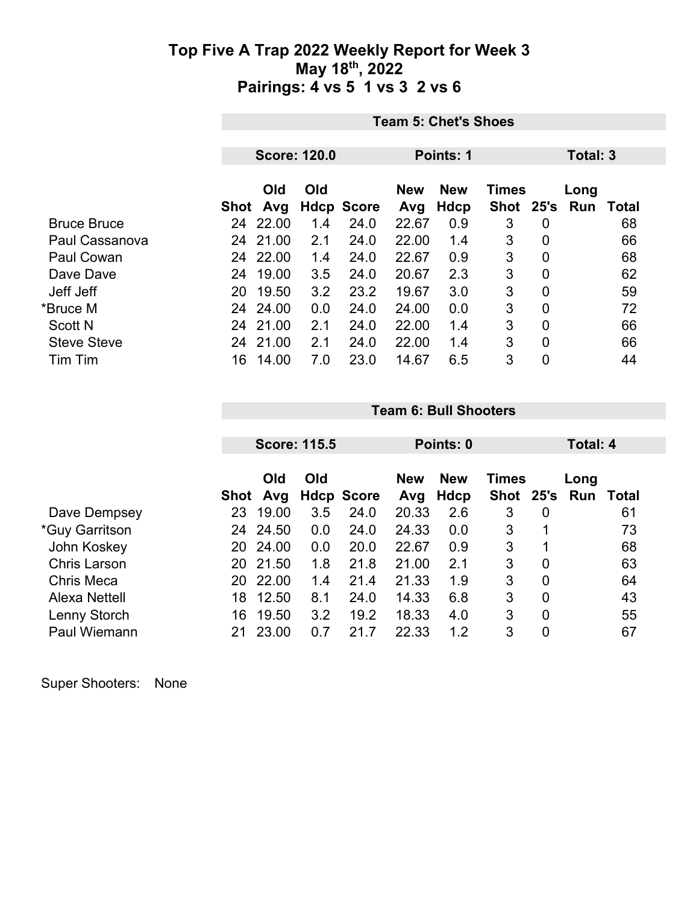|                    | <b>Team 5: Chet's Shoes</b> |                     |     |                   |            |            |              |                |            |       |
|--------------------|-----------------------------|---------------------|-----|-------------------|------------|------------|--------------|----------------|------------|-------|
|                    |                             |                     |     |                   |            |            |              |                |            |       |
|                    |                             | <b>Score: 120.0</b> |     |                   | Points: 1  |            |              |                | Total: 3   |       |
|                    |                             |                     |     |                   |            |            |              |                |            |       |
|                    |                             | Old                 | Old |                   | <b>New</b> | <b>New</b> | <b>Times</b> |                | Long       |       |
|                    | Shot                        | Avg                 |     | <b>Hdcp Score</b> | Avg        | Hdcp       | <b>Shot</b>  | 25's           | <b>Run</b> | Total |
| <b>Bruce Bruce</b> | 24                          | 22.00               | 1.4 | 24.0              | 22.67      | 0.9        | 3            | 0              |            | 68    |
| Paul Cassanova     | 24                          | 21.00               | 2.1 | 24.0              | 22.00      | 1.4        | 3            | $\overline{0}$ |            | 66    |
| <b>Paul Cowan</b>  |                             | 24 22.00            | 1.4 | 24.0              | 22.67      | 0.9        | 3            | $\overline{0}$ |            | 68    |
| Dave Dave          | 24                          | 19.00               | 3.5 | 24.0              | 20.67      | 2.3        | 3            | $\overline{0}$ |            | 62    |
| Jeff Jeff          | 20                          | 19.50               | 3.2 | 23.2              | 19.67      | 3.0        | 3            | $\overline{0}$ |            | 59    |
| *Bruce M           | 24                          | 24.00               | 0.0 | 24.0              | 24.00      | 0.0        | 3            | $\overline{0}$ |            | 72    |
| <b>Scott N</b>     | 24                          | 21.00               | 2.1 | 24.0              | 22.00      | 1.4        | 3            | $\overline{0}$ |            | 66    |
| <b>Steve Steve</b> | 24                          | 21.00               | 2.1 | 24.0              | 22.00      | 1.4        | 3            | $\overline{0}$ |            | 66    |
| Tim Tim            | 16                          | 14.00               | 7.0 | 23.0              | 14.67      | 6.5        | 3            | 0              |            | 44    |

|                       |      |            | <b>Score: 115.5</b> |                   | Points: 0         |                    |                           |                | Total: 4    |              |  |  |
|-----------------------|------|------------|---------------------|-------------------|-------------------|--------------------|---------------------------|----------------|-------------|--------------|--|--|
|                       | Shot | Old<br>Avg | Old                 | <b>Hdcp Score</b> | <b>New</b><br>Avg | <b>New</b><br>Hdcp | <b>Times</b><br>Shot 25's |                | Long<br>Run | <b>Total</b> |  |  |
| Dave Dempsey          | 23   | 19.00      | 3.5                 | 24.0              | 20.33             | 2.6                | 3                         | 0              |             | 61           |  |  |
| <i>*Guy Garritson</i> | 24   | 24.50      | 0.0                 | 24.0              | 24.33             | 0.0                | 3                         | 1              |             | 73           |  |  |
| John Koskey           | 20   | 24.00      | 0.0                 | 20.0              | 22.67             | 0.9                | 3                         |                |             | 68           |  |  |
| <b>Chris Larson</b>   | 20   | 21.50      | 1.8                 | 21.8              | 21.00             | 2.1                | 3                         | $\overline{0}$ |             | 63           |  |  |
| <b>Chris Meca</b>     | 20   | 22.00      | 1.4                 | 21.4              | 21.33             | 1.9                | 3                         | $\overline{0}$ |             | 64           |  |  |
| <b>Alexa Nettell</b>  | 18   | 12.50      | 8.1                 | 24.0              | 14.33             | 6.8                | 3                         | $\overline{0}$ |             | 43           |  |  |
| Lenny Storch          | 16   | 19.50      | 3.2                 | 19.2              | 18.33             | 4.0                | 3                         | $\overline{0}$ |             | 55           |  |  |
| Paul Wiemann          | 21   | 23.00      | 0.7                 | 21.7              | 22.33             | 1.2                | 3                         | 0              |             | 67           |  |  |

**Team 6: Bull Shooters**

Super Shooters: None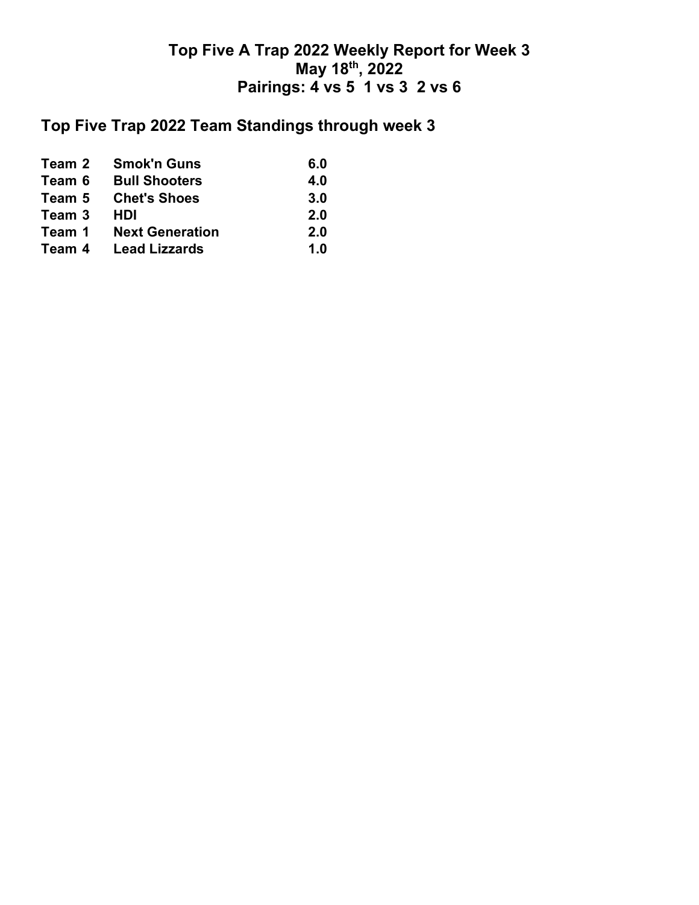# **Top Five Trap 2022 Team Standings through week 3**

| Team 2 | <b>Smok'n Guns</b>     | 6.0 |
|--------|------------------------|-----|
| Team 6 | <b>Bull Shooters</b>   | 4.0 |
| Team 5 | <b>Chet's Shoes</b>    | 3.0 |
| Team 3 | HDI                    | 2.0 |
| Team 1 | <b>Next Generation</b> | 2.0 |
| Team 4 | <b>Lead Lizzards</b>   | 1.0 |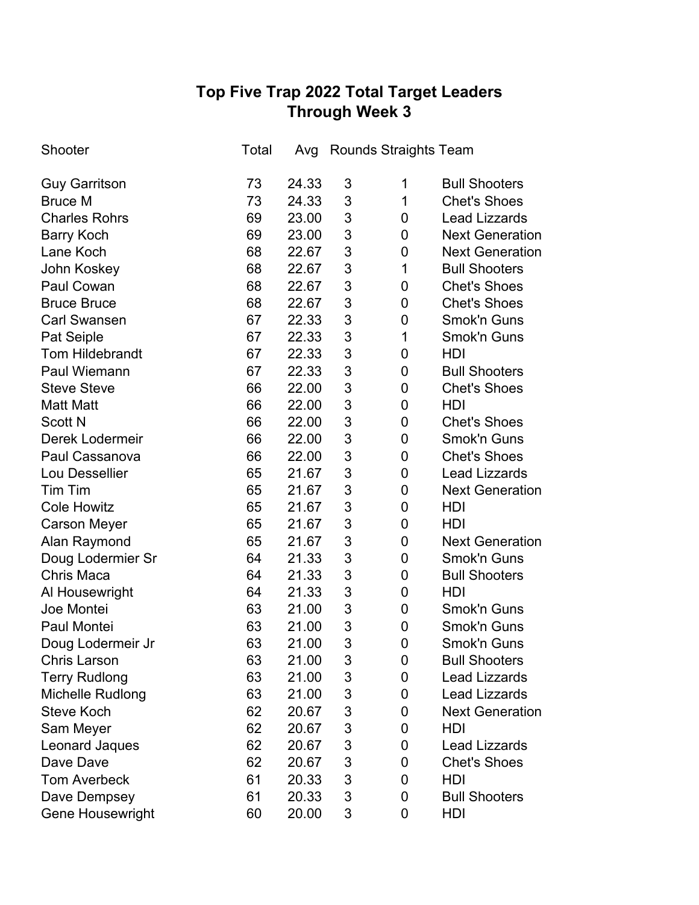# **Top Five Trap 2022 Total Target Leaders Through Week 3**

| Shooter                 | Total | Avg   |                           | <b>Rounds Straights Team</b> |                        |
|-------------------------|-------|-------|---------------------------|------------------------------|------------------------|
| <b>Guy Garritson</b>    | 73    | 24.33 | 3                         | 1                            | <b>Bull Shooters</b>   |
| <b>Bruce M</b>          | 73    | 24.33 | 3                         | $\mathbf 1$                  | <b>Chet's Shoes</b>    |
| <b>Charles Rohrs</b>    | 69    | 23.00 | 3                         | 0                            | <b>Lead Lizzards</b>   |
| <b>Barry Koch</b>       | 69    | 23.00 | 3                         | $\mathbf 0$                  | <b>Next Generation</b> |
| Lane Koch               | 68    | 22.67 | 3                         | $\mathbf 0$                  | <b>Next Generation</b> |
| John Koskey             | 68    | 22.67 | 3                         | $\mathbf 1$                  | <b>Bull Shooters</b>   |
| Paul Cowan              | 68    | 22.67 | 3                         | 0                            | <b>Chet's Shoes</b>    |
| <b>Bruce Bruce</b>      | 68    | 22.67 | 3                         | $\pmb{0}$                    | <b>Chet's Shoes</b>    |
| <b>Carl Swansen</b>     | 67    | 22.33 | 3                         | 0                            | Smok'n Guns            |
| Pat Seiple              | 67    | 22.33 | 3                         | 1                            | Smok'n Guns            |
| <b>Tom Hildebrandt</b>  | 67    | 22.33 | 3                         | 0                            | HDI                    |
| <b>Paul Wiemann</b>     | 67    | 22.33 | 3                         | 0                            | <b>Bull Shooters</b>   |
| <b>Steve Steve</b>      | 66    | 22.00 | 3                         | 0                            | <b>Chet's Shoes</b>    |
| <b>Matt Matt</b>        | 66    | 22.00 | 3                         | 0                            | HDI                    |
| <b>Scott N</b>          | 66    | 22.00 | 3                         | 0                            | <b>Chet's Shoes</b>    |
| Derek Lodermeir         | 66    | 22.00 | 3                         | 0                            | Smok'n Guns            |
| Paul Cassanova          | 66    | 22.00 | 3                         | 0                            | <b>Chet's Shoes</b>    |
| Lou Dessellier          | 65    | 21.67 | 3                         | $\mathbf 0$                  | <b>Lead Lizzards</b>   |
| Tim Tim                 | 65    | 21.67 | 3                         | 0                            | <b>Next Generation</b> |
| <b>Cole Howitz</b>      | 65    | 21.67 | 3                         | 0                            | HDI                    |
| <b>Carson Meyer</b>     | 65    | 21.67 | 3                         | 0                            | HDI                    |
| Alan Raymond            | 65    | 21.67 | 3                         | 0                            | <b>Next Generation</b> |
| Doug Lodermier Sr       | 64    | 21.33 | 3                         | 0                            | <b>Smok'n Guns</b>     |
| <b>Chris Maca</b>       | 64    | 21.33 | 3                         | 0                            | <b>Bull Shooters</b>   |
| Al Housewright          | 64    | 21.33 | 3                         | $\mathbf 0$                  | HDI                    |
| Joe Montei              | 63    | 21.00 | 3                         | 0                            | Smok'n Guns            |
| Paul Montei             | 63    | 21.00 | 3                         | 0                            | <b>Smok'n Guns</b>     |
| Doug Lodermeir Jr       | 63    | 21.00 | 3                         | 0                            | <b>Smok'n Guns</b>     |
| <b>Chris Larson</b>     | 63    | 21.00 | 3                         | 0                            | <b>Bull Shooters</b>   |
| <b>Terry Rudlong</b>    | 63    | 21.00 | 3                         | 0                            | <b>Lead Lizzards</b>   |
| Michelle Rudlong        | 63    | 21.00 | $\mathfrak{S}$            | 0                            | <b>Lead Lizzards</b>   |
| <b>Steve Koch</b>       | 62    | 20.67 | 3                         | 0                            | <b>Next Generation</b> |
| Sam Meyer               | 62    | 20.67 | $\ensuremath{\mathsf{3}}$ | 0                            | <b>HDI</b>             |
| Leonard Jaques          | 62    | 20.67 | 3                         | 0                            | <b>Lead Lizzards</b>   |
| Dave Dave               | 62    | 20.67 | $\ensuremath{\mathsf{3}}$ | 0                            | <b>Chet's Shoes</b>    |
| <b>Tom Averbeck</b>     | 61    | 20.33 | 3                         | 0                            | HDI                    |
| Dave Dempsey            | 61    | 20.33 | 3                         | 0                            | <b>Bull Shooters</b>   |
| <b>Gene Housewright</b> | 60    | 20.00 | 3                         | 0                            | HDI                    |